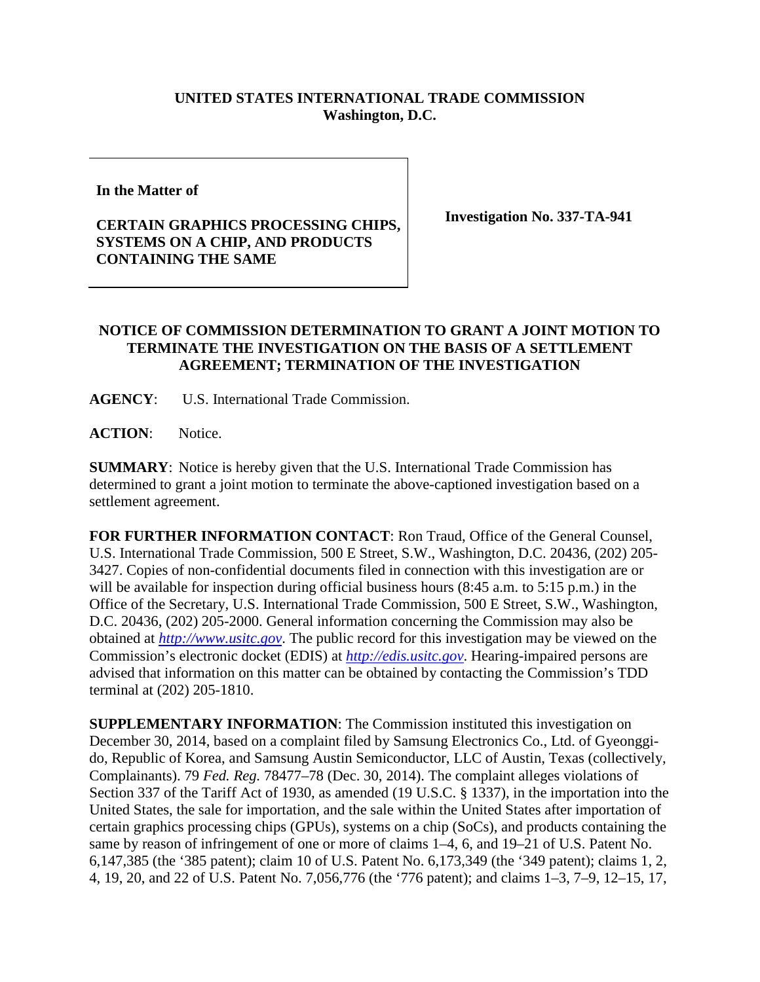## **UNITED STATES INTERNATIONAL TRADE COMMISSION Washington, D.C.**

**In the Matter of** 

## **CERTAIN GRAPHICS PROCESSING CHIPS, SYSTEMS ON A CHIP, AND PRODUCTS CONTAINING THE SAME**

**Investigation No. 337-TA-941**

## **NOTICE OF COMMISSION DETERMINATION TO GRANT A JOINT MOTION TO TERMINATE THE INVESTIGATION ON THE BASIS OF A SETTLEMENT AGREEMENT; TERMINATION OF THE INVESTIGATION**

**AGENCY**: U.S. International Trade Commission.

**ACTION**: Notice.

**SUMMARY**: Notice is hereby given that the U.S. International Trade Commission has determined to grant a joint motion to terminate the above-captioned investigation based on a settlement agreement.

**FOR FURTHER INFORMATION CONTACT**: Ron Traud, Office of the General Counsel, U.S. International Trade Commission, 500 E Street, S.W., Washington, D.C. 20436, (202) 205- 3427. Copies of non-confidential documents filed in connection with this investigation are or will be available for inspection during official business hours (8:45 a.m. to 5:15 p.m.) in the Office of the Secretary, U.S. International Trade Commission, 500 E Street, S.W., Washington, D.C. 20436, (202) 205-2000. General information concerning the Commission may also be obtained at *[http://www.usitc.gov](http://www.usitc.gov/)*. The public record for this investigation may be viewed on the Commission's electronic docket (EDIS) at *[http://edis.usitc.gov](http://edis.usitc.gov/)*. Hearing-impaired persons are advised that information on this matter can be obtained by contacting the Commission's TDD terminal at (202) 205-1810.

**SUPPLEMENTARY INFORMATION**: The Commission instituted this investigation on December 30, 2014, based on a complaint filed by Samsung Electronics Co., Ltd. of Gyeonggido, Republic of Korea, and Samsung Austin Semiconductor, LLC of Austin, Texas (collectively, Complainants). 79 *Fed. Reg.* 78477–78 (Dec. 30, 2014). The complaint alleges violations of Section 337 of the Tariff Act of 1930, as amended (19 U.S.C. § 1337), in the importation into the United States, the sale for importation, and the sale within the United States after importation of certain graphics processing chips (GPUs), systems on a chip (SoCs), and products containing the same by reason of infringement of one or more of claims 1–4, 6, and 19–21 of U.S. Patent No. 6,147,385 (the '385 patent); claim 10 of U.S. Patent No. 6,173,349 (the '349 patent); claims 1, 2, 4, 19, 20, and 22 of U.S. Patent No. 7,056,776 (the '776 patent); and claims 1–3, 7–9, 12–15, 17,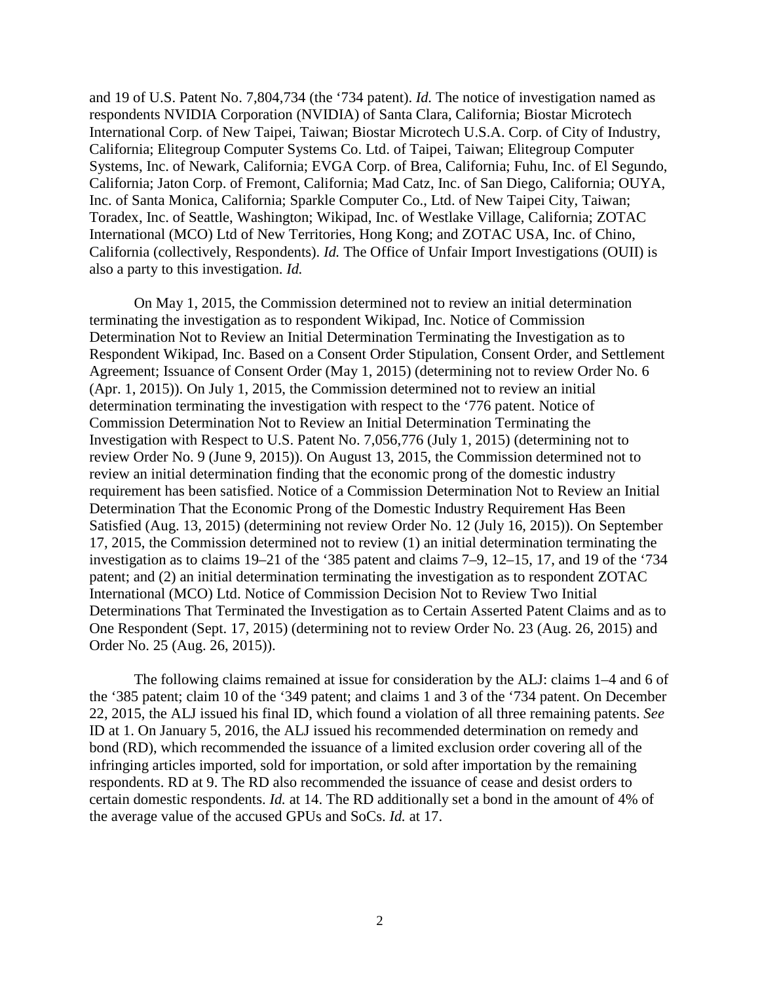and 19 of U.S. Patent No. 7,804,734 (the '734 patent). *Id.* The notice of investigation named as respondents NVIDIA Corporation (NVIDIA) of Santa Clara, California; Biostar Microtech International Corp. of New Taipei, Taiwan; Biostar Microtech U.S.A. Corp. of City of Industry, California; Elitegroup Computer Systems Co. Ltd. of Taipei, Taiwan; Elitegroup Computer Systems, Inc. of Newark, California; EVGA Corp. of Brea, California; Fuhu, Inc. of El Segundo, California; Jaton Corp. of Fremont, California; Mad Catz, Inc. of San Diego, California; OUYA, Inc. of Santa Monica, California; Sparkle Computer Co., Ltd. of New Taipei City, Taiwan; Toradex, Inc. of Seattle, Washington; Wikipad, Inc. of Westlake Village, California; ZOTAC International (MCO) Ltd of New Territories, Hong Kong; and ZOTAC USA, Inc. of Chino, California (collectively, Respondents). *Id.* The Office of Unfair Import Investigations (OUII) is also a party to this investigation. *Id.*

On May 1, 2015, the Commission determined not to review an initial determination terminating the investigation as to respondent Wikipad, Inc. Notice of Commission Determination Not to Review an Initial Determination Terminating the Investigation as to Respondent Wikipad, Inc. Based on a Consent Order Stipulation, Consent Order, and Settlement Agreement; Issuance of Consent Order (May 1, 2015) (determining not to review Order No. 6 (Apr. 1, 2015)). On July 1, 2015, the Commission determined not to review an initial determination terminating the investigation with respect to the '776 patent. Notice of Commission Determination Not to Review an Initial Determination Terminating the Investigation with Respect to U.S. Patent No. 7,056,776 (July 1, 2015) (determining not to review Order No. 9 (June 9, 2015)). On August 13, 2015, the Commission determined not to review an initial determination finding that the economic prong of the domestic industry requirement has been satisfied. Notice of a Commission Determination Not to Review an Initial Determination That the Economic Prong of the Domestic Industry Requirement Has Been Satisfied (Aug. 13, 2015) (determining not review Order No. 12 (July 16, 2015)). On September 17, 2015, the Commission determined not to review (1) an initial determination terminating the investigation as to claims 19–21 of the '385 patent and claims 7–9, 12–15, 17, and 19 of the '734 patent; and (2) an initial determination terminating the investigation as to respondent ZOTAC International (MCO) Ltd. Notice of Commission Decision Not to Review Two Initial Determinations That Terminated the Investigation as to Certain Asserted Patent Claims and as to One Respondent (Sept. 17, 2015) (determining not to review Order No. 23 (Aug. 26, 2015) and Order No. 25 (Aug. 26, 2015)).

The following claims remained at issue for consideration by the ALJ: claims 1–4 and 6 of the '385 patent; claim 10 of the '349 patent; and claims 1 and 3 of the '734 patent. On December 22, 2015, the ALJ issued his final ID, which found a violation of all three remaining patents. *See* ID at 1. On January 5, 2016, the ALJ issued his recommended determination on remedy and bond (RD), which recommended the issuance of a limited exclusion order covering all of the infringing articles imported, sold for importation, or sold after importation by the remaining respondents. RD at 9. The RD also recommended the issuance of cease and desist orders to certain domestic respondents. *Id.* at 14. The RD additionally set a bond in the amount of 4% of the average value of the accused GPUs and SoCs. *Id.* at 17.